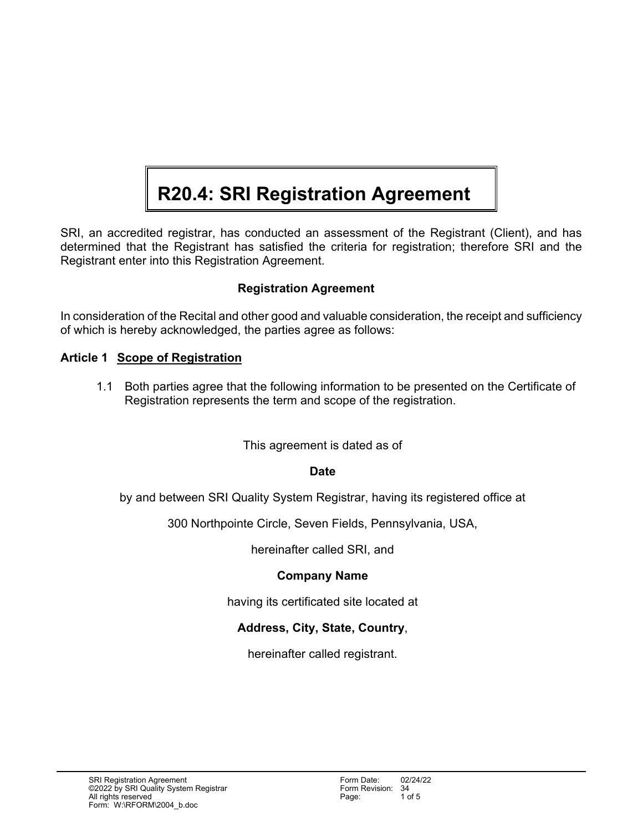# **R20.4: SRI Registration Agreement**

SRI, an accredited registrar, has conducted an assessment of the Registrant (Client), and has determined that the Registrant has satisfied the criteria for registration; therefore SRI and the Registrant enter into this Registration Agreement.

# **Registration Agreement**

In consideration of the Recital and other good and valuable consideration, the receipt and sufficiency of which is hereby acknowledged, the parties agree as follows:

### **Article 1 Scope of Registration**

1.1 Both parties agree that the following information to be presented on the Certificate of Registration represents the term and scope of the registration.

#### This agreement is dated as of

#### **Date**

by and between SRI Quality System Registrar, having its registered office at

300 Northpointe Circle, Seven Fields, Pennsylvania, USA,

hereinafter called SRI, and

#### **Company Name**

having its certificated site located at

# **Address, City, State, Country**,

hereinafter called registrant.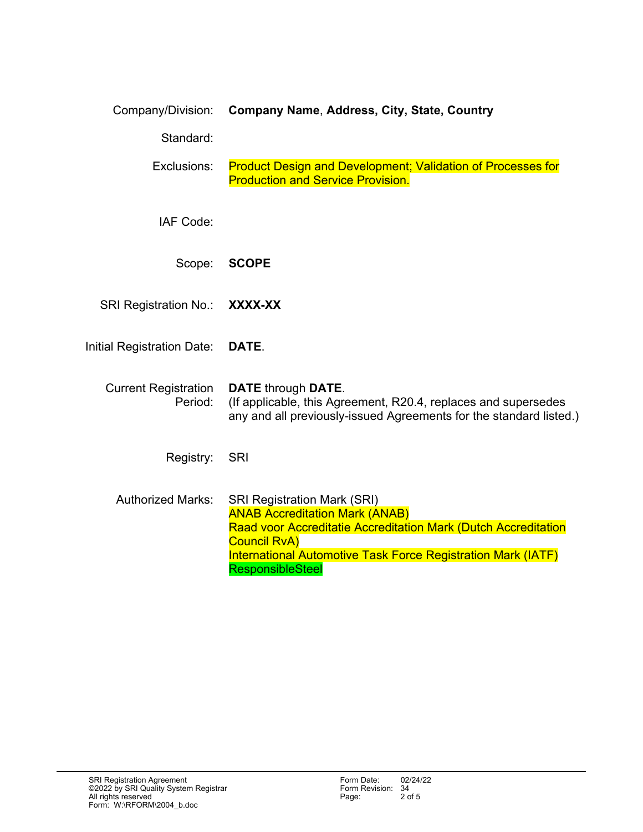| Company/Division: | <b>Company Name, Address, City, State, Country</b> |  |
|-------------------|----------------------------------------------------|--|
|-------------------|----------------------------------------------------|--|

Standard:

Exclusions: Product Design and Development; Validation of Processes for Production and Service Provision.

IAF Code:

Scope: **SCOPE** 

SRI Registration No.: **XXXX-XX** 

Initial Registration Date: **DATE**.

#### Current Registration **DATE** through **DATE**.

Period: (If applicable, this Agreement, R20.4, replaces and supersedes any and all previously-issued Agreements for the standard listed.)

Registry: SRI

Authorized Marks: SRI Registration Mark (SRI) ANAB Accreditation Mark (ANAB) Raad voor Accreditatie Accreditation Mark (Dutch Accreditation Council RvA) International Automotive Task Force Registration Mark (IATF) **ResponsibleSteel**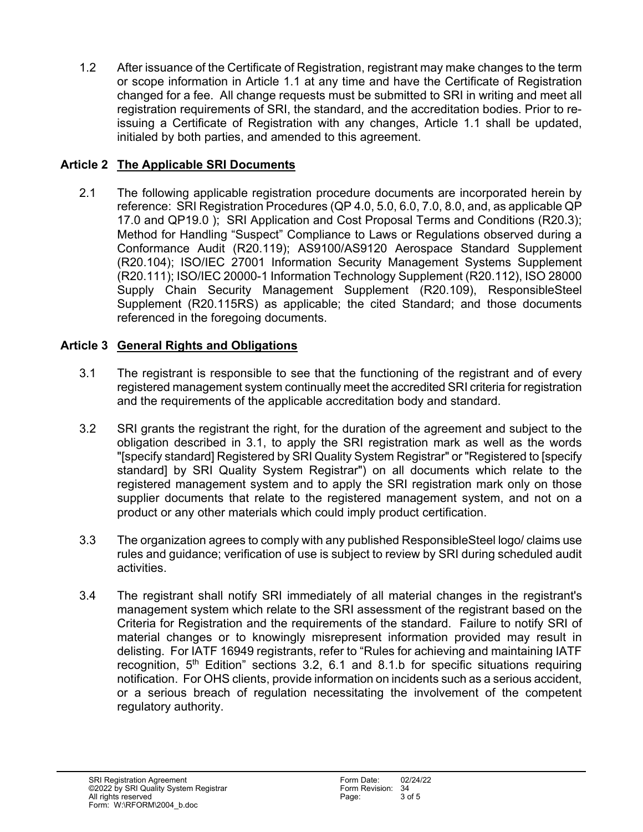1.2 After issuance of the Certificate of Registration, registrant may make changes to the term or scope information in Article 1.1 at any time and have the Certificate of Registration changed for a fee. All change requests must be submitted to SRI in writing and meet all registration requirements of SRI, the standard, and the accreditation bodies. Prior to reissuing a Certificate of Registration with any changes, Article 1.1 shall be updated, initialed by both parties, and amended to this agreement.

## **Article 2 The Applicable SRI Documents**

2.1 The following applicable registration procedure documents are incorporated herein by reference: SRI Registration Procedures (QP 4.0, 5.0, 6.0, 7.0, 8.0, and, as applicable QP 17.0 and QP19.0 ); SRI Application and Cost Proposal Terms and Conditions (R20.3); Method for Handling "Suspect" Compliance to Laws or Regulations observed during a Conformance Audit (R20.119); AS9100/AS9120 Aerospace Standard Supplement (R20.104); ISO/IEC 27001 Information Security Management Systems Supplement (R20.111); ISO/IEC 20000-1 Information Technology Supplement (R20.112), ISO 28000 Supply Chain Security Management Supplement (R20.109), ResponsibleSteel Supplement (R20.115RS) as applicable; the cited Standard; and those documents referenced in the foregoing documents.

# **Article 3 General Rights and Obligations**

- 3.1 The registrant is responsible to see that the functioning of the registrant and of every registered management system continually meet the accredited SRI criteria for registration and the requirements of the applicable accreditation body and standard.
- 3.2 SRI grants the registrant the right, for the duration of the agreement and subject to the obligation described in 3.1, to apply the SRI registration mark as well as the words "[specify standard] Registered by SRI Quality System Registrar" or "Registered to [specify standard] by SRI Quality System Registrar") on all documents which relate to the registered management system and to apply the SRI registration mark only on those supplier documents that relate to the registered management system, and not on a product or any other materials which could imply product certification.
- 3.3 The organization agrees to comply with any published ResponsibleSteel logo/ claims use rules and guidance; verification of use is subject to review by SRI during scheduled audit activities.
- 3.4 The registrant shall notify SRI immediately of all material changes in the registrant's management system which relate to the SRI assessment of the registrant based on the Criteria for Registration and the requirements of the standard. Failure to notify SRI of material changes or to knowingly misrepresent information provided may result in delisting. For IATF 16949 registrants, refer to "Rules for achieving and maintaining IATF recognition,  $5<sup>th</sup>$  Edition" sections 3.2, 6.1 and 8.1.b for specific situations requiring notification. For OHS clients, provide information on incidents such as a serious accident, or a serious breach of regulation necessitating the involvement of the competent regulatory authority.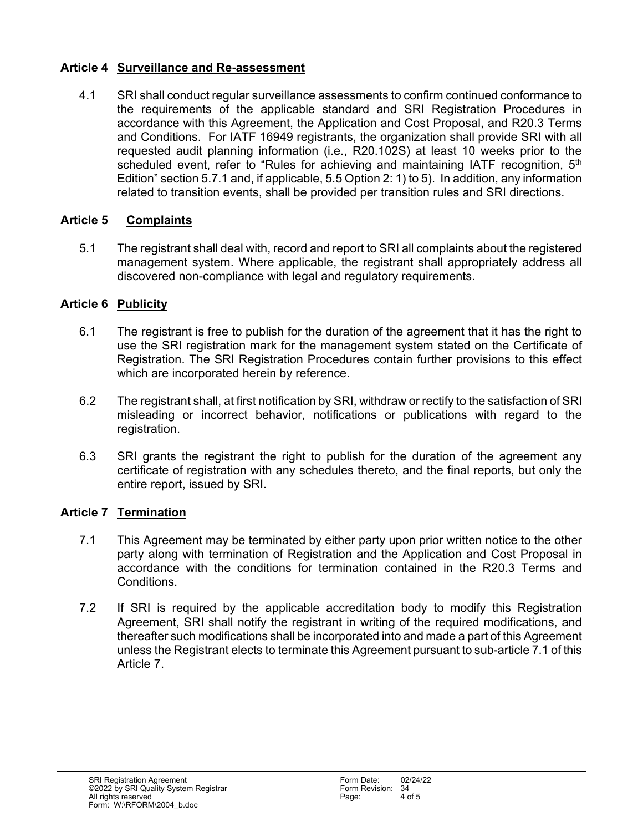### **Article 4 Surveillance and Re-assessment**

4.1 SRI shall conduct regular surveillance assessments to confirm continued conformance to the requirements of the applicable standard and SRI Registration Procedures in accordance with this Agreement, the Application and Cost Proposal, and R20.3 Terms and Conditions. For IATF 16949 registrants, the organization shall provide SRI with all requested audit planning information (i.e., R20.102S) at least 10 weeks prior to the scheduled event, refer to "Rules for achieving and maintaining IATF recognition, 5<sup>th</sup> Edition" section 5.7.1 and, if applicable, 5.5 Option 2: 1) to 5). In addition, any information related to transition events, shall be provided per transition rules and SRI directions.

# **Article 5 Complaints**

5.1 The registrant shall deal with, record and report to SRI all complaints about the registered management system. Where applicable, the registrant shall appropriately address all discovered non-compliance with legal and regulatory requirements.

# **Article 6 Publicity**

- 6.1 The registrant is free to publish for the duration of the agreement that it has the right to use the SRI registration mark for the management system stated on the Certificate of Registration. The SRI Registration Procedures contain further provisions to this effect which are incorporated herein by reference.
- 6.2 The registrant shall, at first notification by SRI, withdraw or rectify to the satisfaction of SRI misleading or incorrect behavior, notifications or publications with regard to the registration.
- 6.3 SRI grants the registrant the right to publish for the duration of the agreement any certificate of registration with any schedules thereto, and the final reports, but only the entire report, issued by SRI.

# **Article 7 Termination**

- 7.1 This Agreement may be terminated by either party upon prior written notice to the other party along with termination of Registration and the Application and Cost Proposal in accordance with the conditions for termination contained in the R20.3 Terms and Conditions.
- 7.2 If SRI is required by the applicable accreditation body to modify this Registration Agreement, SRI shall notify the registrant in writing of the required modifications, and thereafter such modifications shall be incorporated into and made a part of this Agreement unless the Registrant elects to terminate this Agreement pursuant to sub-article 7.1 of this Article 7.